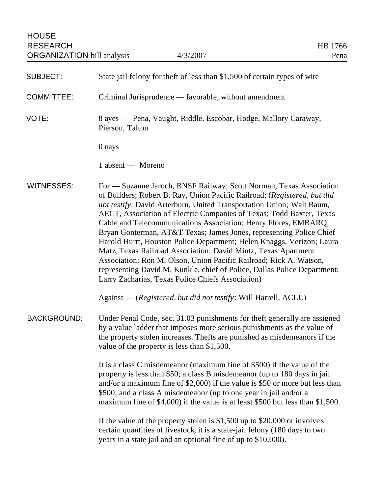| <b>SUBJECT:</b>    | State jail felony for theft of less than \$1,500 of certain types of wire                                                                                                                                                                                                                                                                                                                                                                                                                                                                                                                                                                                                                                                                                                                    |
|--------------------|----------------------------------------------------------------------------------------------------------------------------------------------------------------------------------------------------------------------------------------------------------------------------------------------------------------------------------------------------------------------------------------------------------------------------------------------------------------------------------------------------------------------------------------------------------------------------------------------------------------------------------------------------------------------------------------------------------------------------------------------------------------------------------------------|
| <b>COMMITTEE:</b>  | Criminal Jurisprudence — favorable, without amendment                                                                                                                                                                                                                                                                                                                                                                                                                                                                                                                                                                                                                                                                                                                                        |
| VOTE:              | 8 ayes — Pena, Vaught, Riddle, Escobar, Hodge, Mallory Caraway,<br>Pierson, Talton                                                                                                                                                                                                                                                                                                                                                                                                                                                                                                                                                                                                                                                                                                           |
|                    | 0 nays                                                                                                                                                                                                                                                                                                                                                                                                                                                                                                                                                                                                                                                                                                                                                                                       |
|                    | 1 absent — Moreno                                                                                                                                                                                                                                                                                                                                                                                                                                                                                                                                                                                                                                                                                                                                                                            |
| <b>WITNESSES:</b>  | For — Suzanne Jaroch, BNSF Railway; Scott Norman, Texas Association<br>of Builders; Robert B. Ray, Union Pacific Railroad; (Registered, but did<br>not testify: David Arterburn, United Transportation Union; Walt Baum,<br>AECT, Association of Electric Companies of Texas; Todd Baxter, Texas<br>Cable and Telecommunications Association; Henry Flores, EMBARQ;<br>Bryan Gonterman, AT&T Texas; James Jones, representing Police Chief<br>Harold Hurtt, Houston Police Department; Helen Knaggs, Verizon; Laura<br>Matz, Texas Railroad Association; David Mintz, Texas Apartment<br>Association; Ron M. Olson, Union Pacific Railroad; Rick A. Watson,<br>representing David M. Kunkle, chief of Police, Dallas Police Department;<br>Larry Zacharias, Texas Police Chiefs Association) |
|                    | Against — (Registered, but did not testify: Will Harrell, ACLU)                                                                                                                                                                                                                                                                                                                                                                                                                                                                                                                                                                                                                                                                                                                              |
| <b>BACKGROUND:</b> | Under Penal Code, sec. 31.03 punishments for theft generally are assigned<br>by a value ladder that imposes more serious punishments as the value of<br>the property stolen increases. The fts are punished as misdemeanors if the<br>value of the property is less than \$1,500.                                                                                                                                                                                                                                                                                                                                                                                                                                                                                                            |
|                    | It is a class C misdemeanor (maximum fine of \$500) if the value of the<br>property is less than \$50; a class B misdemeanor (up to 180 days in jail<br>and/or a maximum fine of \$2,000) if the value is \$50 or more but less than<br>\$500; and a class A misdemeanor (up to one year in jail and/or a<br>maximum fine of \$4,000) if the value is at least \$500 but less than \$1,500.                                                                                                                                                                                                                                                                                                                                                                                                  |
|                    | If the value of the property stolen is \$1,500 up to \$20,000 or involves<br>certain quantities of livestock, it is a state-jail felony (180 days to two<br>years in a state jail and an optional fine of up to \$10,000).                                                                                                                                                                                                                                                                                                                                                                                                                                                                                                                                                                   |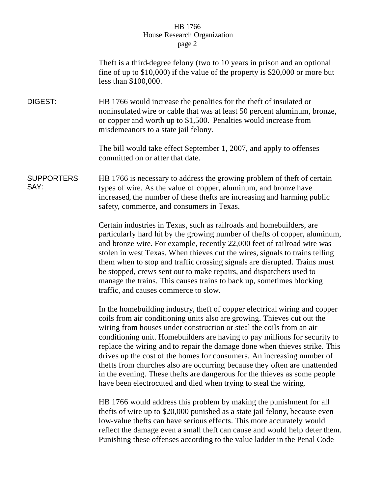## HB 1766 House Research Organization page 2

|                           | The ft is a third-degree felony (two to 10 years in prison and an optional<br>fine of up to $$10,000$ if the value of the property is $$20,000$ or more but<br>less than \$100,000.                                                                                                                                                                                                                                                                                                                                                                                                                                           |
|---------------------------|-------------------------------------------------------------------------------------------------------------------------------------------------------------------------------------------------------------------------------------------------------------------------------------------------------------------------------------------------------------------------------------------------------------------------------------------------------------------------------------------------------------------------------------------------------------------------------------------------------------------------------|
| <b>DIGEST:</b>            | HB 1766 would increase the penalties for the theft of insulated or<br>noninsulated wire or cable that was at least 50 percent aluminum, bronze,<br>or copper and worth up to \$1,500. Penalties would increase from<br>misdemeanors to a state jail felony.                                                                                                                                                                                                                                                                                                                                                                   |
|                           | The bill would take effect September 1, 2007, and apply to offenses<br>committed on or after that date.                                                                                                                                                                                                                                                                                                                                                                                                                                                                                                                       |
| <b>SUPPORTERS</b><br>SAY: | HB 1766 is necessary to address the growing problem of theft of certain<br>types of wire. As the value of copper, aluminum, and bronze have<br>increased, the number of these thefts are increasing and harming public<br>safety, commerce, and consumers in Texas.                                                                                                                                                                                                                                                                                                                                                           |
|                           | Certain industries in Texas, such as railroads and homebuilders, are<br>particularly hard hit by the growing number of thefts of copper, aluminum,<br>and bronze wire. For example, recently 22,000 feet of railroad wire was<br>stolen in west Texas. When thieves cut the wires, signals to trains telling<br>them when to stop and traffic crossing signals are disrupted. Trains must<br>be stopped, crews sent out to make repairs, and dispatchers used to<br>manage the trains. This causes trains to back up, sometimes blocking<br>traffic, and causes commerce to slow.                                             |
|                           | In the homebuilding industry, theft of copper electrical wiring and copper<br>coils from air conditioning units also are growing. Thieves cut out the<br>wiring from houses under construction or steal the coils from an air<br>conditioning unit. Homebuilders are having to pay millions for security to<br>replace the wiring and to repair the damage done when thieves strike. This<br>drives up the cost of the homes for consumers. An increasing number of<br>thefts from churches also are occurring because they often are unattended<br>in the evening. These thefts are dangerous for the thieves as some people |

HB 1766 would address this problem by making the punishment for all thefts of wire up to \$20,000 punished as a state jail felony, because even low-value thefts can have serious effects. This more accurately would reflect the damage even a small theft can cause and would help deter them. Punishing these offenses according to the value ladder in the Penal Code

have been electrocuted and died when trying to steal the wiring.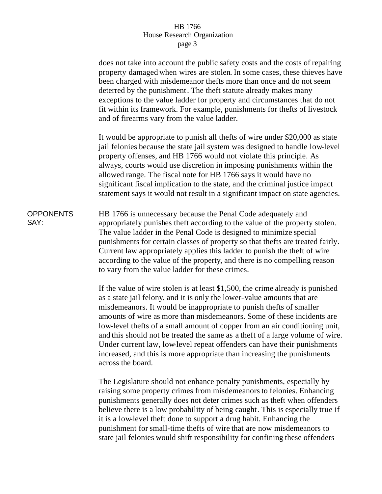## HB 1766 House Research Organization page 3

does not take into account the public safety costs and the costs of repairing property damaged when wires are stolen. In some cases, these thieves have been charged with misdemeanor thefts more than once and do not seem deterred by the punishment. The theft statute already makes many exceptions to the value ladder for property and circumstances that do not fit within its framework. For example, punishments for thefts of livestock and of firearms vary from the value ladder. It would be appropriate to punish all thefts of wire under \$20,000 as state jail felonies because the state jail system was designed to handle low-level property offenses, and HB 1766 would not violate this principle. As always, courts would use discretion in imposing punishments within the allowed range. The fiscal note for HB 1766 says it would have no significant fiscal implication to the state, and the criminal justice impact statement says it would not result in a significant impact on state agencies. **OPPONENTS** SAY: HB 1766 is unnecessary because the Penal Code adequately and appropriately punishes theft according to the value of the property stolen. The value ladder in the Penal Code is designed to minimize special punishments for certain classes of property so that thefts are treated fairly. Current law appropriately applies this ladder to punish the theft of wire according to the value of the property, and there is no compelling reason to vary from the value ladder for these crimes. If the value of wire stolen is at least \$1,500, the crime already is punished as a state jail felony, and it is only the lower-value amounts that are misdemeanors. It would be inappropriate to punish thefts of smaller

amounts of wire as more than misdemeanors. Some of these incidents are low-level thefts of a small amount of copper from an air conditioning unit, and this should not be treated the same as a theft of a large volume of wire. Under current law, low-level repeat offenders can have their punishments increased, and this is more appropriate than increasing the punishments across the board.

The Legislature should not enhance penalty punishments, especially by raising some property crimes from misdemeanors to felonies. Enhancing punishments generally does not deter crimes such as theft when offenders believe there is a low probability of being caught. This is especially true if it is a low-level theft done to support a drug habit. Enhancing the punishment for small-time thefts of wire that are now misdemeanors to state jail felonies would shift responsibility for confining these offenders